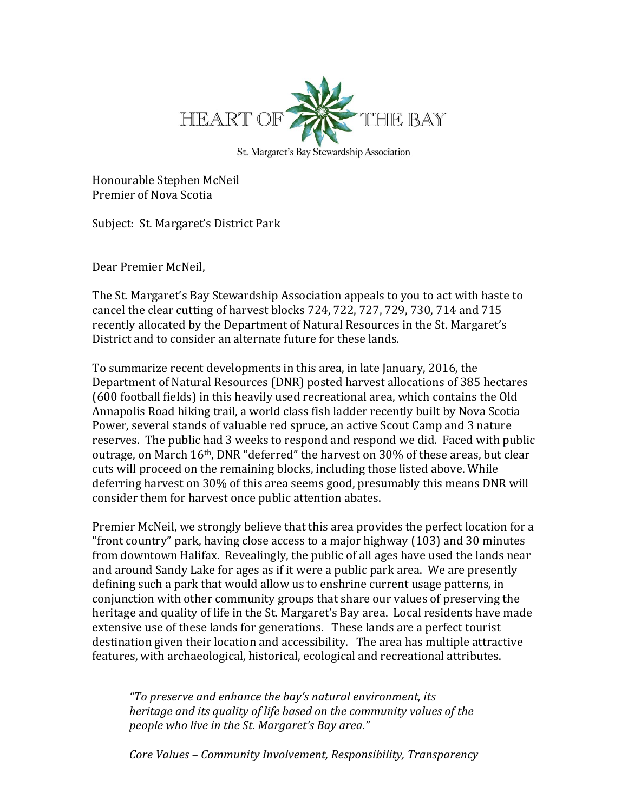

St. Margaret's Bay Stewardship Association

Honourable Stephen McNeil Premier of Nova Scotia

Subject: St. Margaret's District Park

Dear Premier McNeil.

The St. Margaret's Bay Stewardship Association appeals to you to act with haste to cancel the clear cutting of harvest blocks 724, 722, 727, 729, 730, 714 and 715 recently allocated by the Department of Natural Resources in the St. Margaret's District and to consider an alternate future for these lands.

To summarize recent developments in this area, in late January, 2016, the Department of Natural Resources (DNR) posted harvest allocations of 385 hectares (600 football fields) in this heavily used recreational area, which contains the Old Annapolis Road hiking trail, a world class fish ladder recently built by Nova Scotia Power, several stands of valuable red spruce, an active Scout Camp and 3 nature reserves. The public had 3 weeks to respond and respond we did. Faced with public outrage, on March 16<sup>th</sup>, DNR "deferred" the harvest on 30% of these areas, but clear cuts will proceed on the remaining blocks, including those listed above. While deferring harvest on 30% of this area seems good, presumably this means DNR will consider them for harvest once public attention abates.

Premier McNeil, we strongly believe that this area provides the perfect location for a "front country" park, having close access to a major highway  $(103)$  and 30 minutes from downtown Halifax. Revealingly, the public of all ages have used the lands near and around Sandy Lake for ages as if it were a public park area. We are presently defining such a park that would allow us to enshrine current usage patterns, in conjunction with other community groups that share our values of preserving the heritage and quality of life in the St. Margaret's Bay area. Local residents have made extensive use of these lands for generations. These lands are a perfect tourist destination given their location and accessibility. The area has multiple attractive features, with archaeological, historical, ecological and recreational attributes.

*"To preserve and enhance the bay's natural environment, its heritage and its quality of life based on the community values of the people who live in the St. Margaret's Bay area."* 

*Core Values – Community Involvement, Responsibility, Transparency*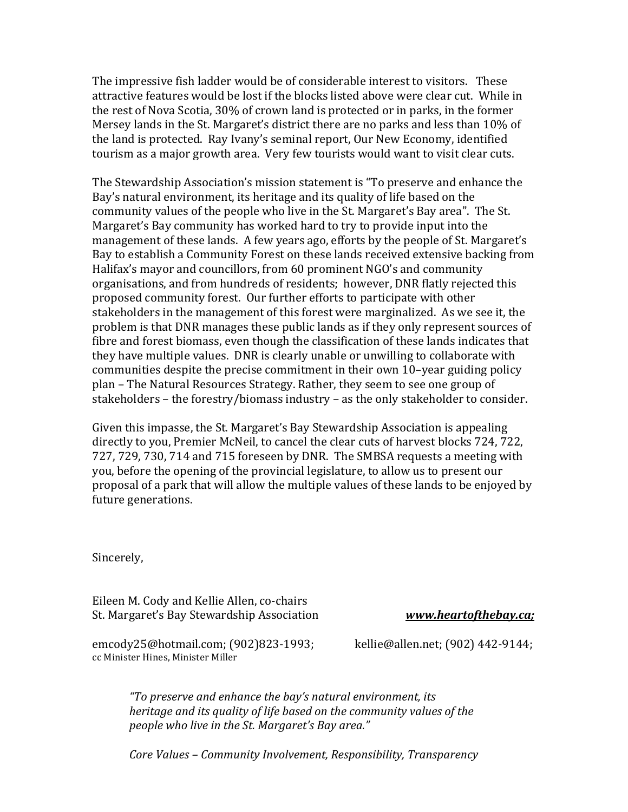The impressive fish ladder would be of considerable interest to visitors. These attractive features would be lost if the blocks listed above were clear cut. While in the rest of Nova Scotia, 30% of crown land is protected or in parks, in the former Mersey lands in the St. Margaret's district there are no parks and less than 10% of the land is protected. Ray Ivany's seminal report, Our New Economy, identified tourism as a major growth area. Very few tourists would want to visit clear cuts.

The Stewardship Association's mission statement is "To preserve and enhance the Bay's natural environment, its heritage and its quality of life based on the community values of the people who live in the St. Margaret's Bay area". The St. Margaret's Bay community has worked hard to try to provide input into the management of these lands. A few years ago, efforts by the people of St. Margaret's Bay to establish a Community Forest on these lands received extensive backing from Halifax's mayor and councillors, from 60 prominent NGO's and community organisations, and from hundreds of residents: however, DNR flatly rejected this proposed community forest. Our further efforts to participate with other stakeholders in the management of this forest were marginalized. As we see it, the problem is that DNR manages these public lands as if they only represent sources of fibre and forest biomass, even though the classification of these lands indicates that they have multiple values. DNR is clearly unable or unwilling to collaborate with communities despite the precise commitment in their own 10-year guiding policy plan – The Natural Resources Strategy. Rather, they seem to see one group of stakeholders – the forestry/biomass industry – as the only stakeholder to consider.

Given this impasse, the St. Margaret's Bay Stewardship Association is appealing directly to you, Premier McNeil, to cancel the clear cuts of harvest blocks 724, 722, 727, 729, 730, 714 and 715 foreseen by DNR. The SMBSA requests a meeting with you, before the opening of the provincial legislature, to allow us to present our proposal of a park that will allow the multiple values of these lands to be enjoyed by future generations.

Sincerely,

Eileen M. Cody and Kellie Allen, co-chairs St. Margaret's Bay Stewardship Association *www.heartofthebay.ca;* 

emcody25@hotmail.com; (902)823-1993; kellie@allen.net; (902) 442-9144; cc Minister Hines, Minister Miller

*"To preserve and enhance the bay's natural environment, its heritage and its quality of life based on the community values of the people who live in the St. Margaret's Bay area."* 

*Core Values – Community Involvement, Responsibility, Transparency*